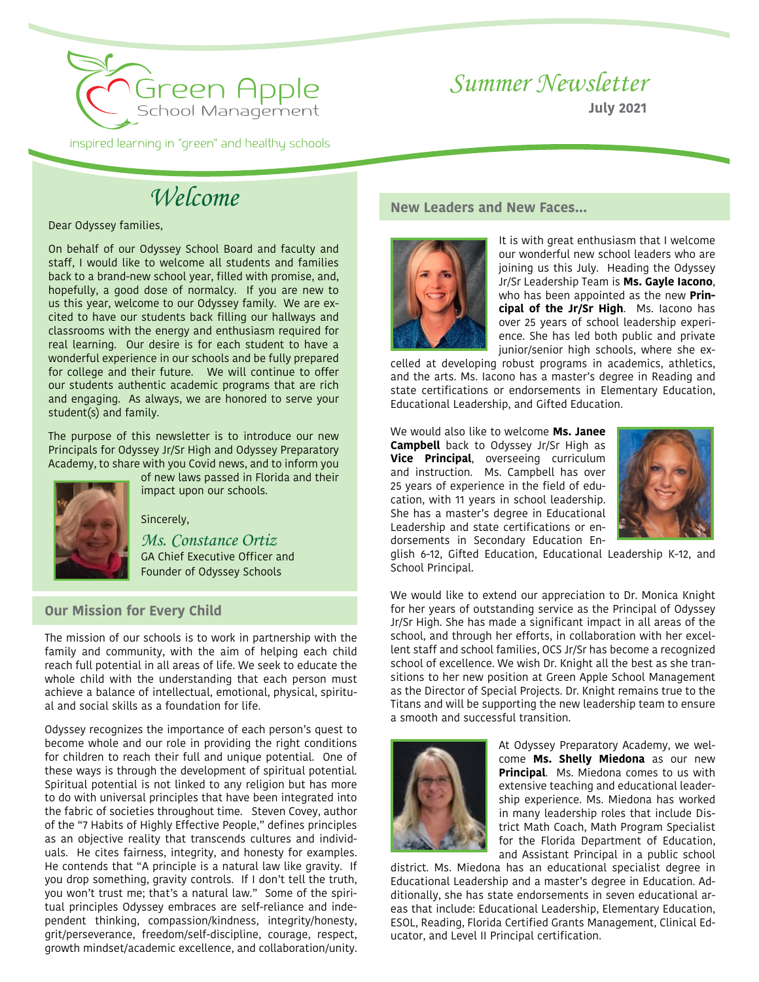

# *Summer Newsletter*

**July 2021**

*Welcome*

Dear Odyssey families,

On behalf of our Odyssey School Board and faculty and staff, I would like to welcome all students and families back to a brand-new school year, filled with promise, and, hopefully, a good dose of normalcy. If you are new to us this year, welcome to our Odyssey family. We are excited to have our students back filling our hallways and classrooms with the energy and enthusiasm required for real learning. Our desire is for each student to have a wonderful experience in our schools and be fully prepared for college and their future. We will continue to offer our students authentic academic programs that are rich and engaging. As always, we are honored to serve your student(s) and family.

The purpose of this newsletter is to introduce our new Principals for Odyssey Jr/Sr High and Odyssey Preparatory Academy, to share with you Covid news, and to inform you



of new laws passed in Florida and their impact upon our schools.

Sincerely,

*Ms. Constance Ortiz* GA Chief Executive Officer and Founder of Odyssey Schools

# **Our Mission for Every Child**

The mission of our schools is to work in partnership with the family and community, with the aim of helping each child reach full potential in all areas of life. We seek to educate the whole child with the understanding that each person must achieve a balance of intellectual, emotional, physical, spiritual and social skills as a foundation for life.

Odyssey recognizes the importance of each person's quest to become whole and our role in providing the right conditions for children to reach their full and unique potential. One of these ways is through the development of spiritual potential. Spiritual potential is not linked to any religion but has more to do with universal principles that have been integrated into the fabric of societies throughout time. Steven Covey, author of the "7 Habits of Highly Effective People," defines principles as an objective reality that transcends cultures and individuals. He cites fairness, integrity, and honesty for examples. He contends that "A principle is a natural law like gravity. If you drop something, gravity controls. If I don't tell the truth, you won't trust me; that's a natural law." Some of the spiritual principles Odyssey embraces are self-reliance and independent thinking, compassion/kindness, integrity/honesty, grit/perseverance, freedom/self-discipline, courage, respect, growth mindset/academic excellence, and collaboration/unity.

## **New Leaders and New Faces…**



It is with great enthusiasm that I welcome our wonderful new school leaders who are joining us this July. Heading the Odyssey Jr/Sr Leadership Team is **Ms. Gayle Iacono**, who has been appointed as the new **Principal of the Jr/Sr High**. Ms. Iacono has over 25 years of school leadership experience. She has led both public and private junior/senior high schools, where she ex-

celled at developing robust programs in academics, athletics, and the arts. Ms. Iacono has a master's degree in Reading and state certifications or endorsements in Elementary Education, Educational Leadership, and Gifted Education.

We would also like to welcome **Ms. Janee Campbell** back to Odyssey Jr/Sr High as **Vice Principal**, overseeing curriculum and instruction. Ms. Campbell has over 25 years of experience in the field of education, with 11 years in school leadership. She has a master's degree in Educational Leadership and state certifications or endorsements in Secondary Education En-



glish 6-12, Gifted Education, Educational Leadership K-12, and School Principal.

We would like to extend our appreciation to Dr. Monica Knight for her years of outstanding service as the Principal of Odyssey Jr/Sr High. She has made a significant impact in all areas of the school, and through her efforts, in collaboration with her excellent staff and school families, OCS Jr/Sr has become a recognized school of excellence. We wish Dr. Knight all the best as she transitions to her new position at Green Apple School Management as the Director of Special Projects. Dr. Knight remains true to the Titans and will be supporting the new leadership team to ensure a smooth and successful transition.



At Odyssey Preparatory Academy, we welcome **Ms. Shelly Miedona** as our new **Principal**. Ms. Miedona comes to us with extensive teaching and educational leadership experience. Ms. Miedona has worked in many leadership roles that include District Math Coach, Math Program Specialist for the Florida Department of Education, and Assistant Principal in a public school

district. Ms. Miedona has an educational specialist degree in Educational Leadership and a master's degree in Education. Additionally, she has state endorsements in seven educational areas that include: Educational Leadership, Elementary Education, ESOL, Reading, Florida Certified Grants Management, Clinical Educator, and Level II Principal certification.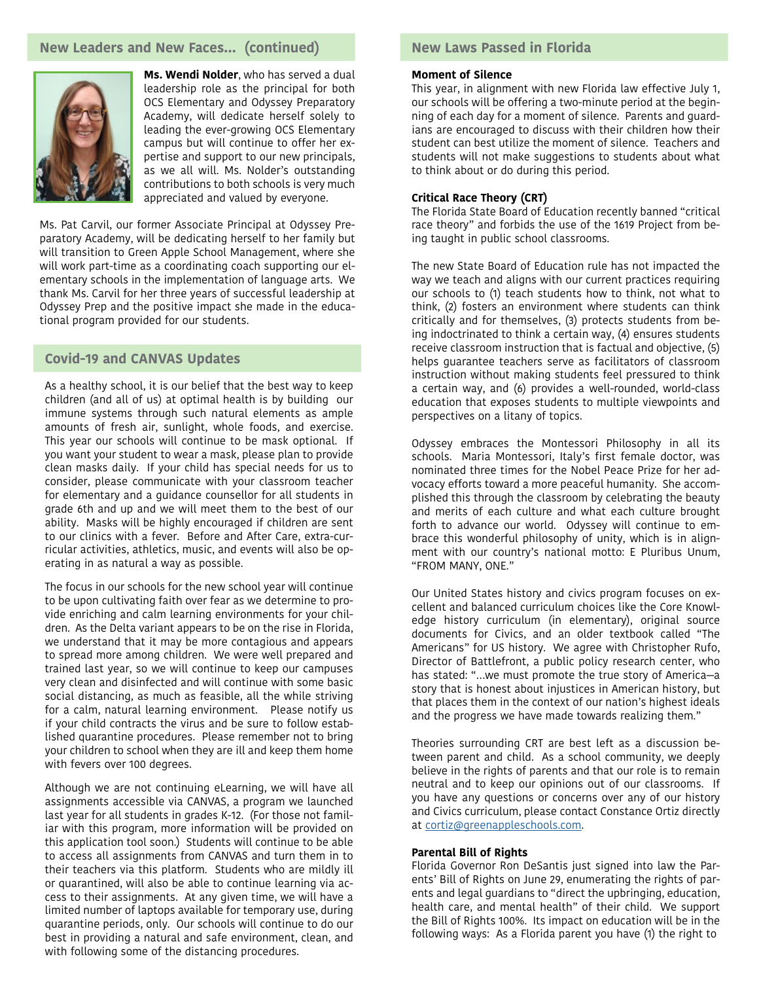## **New Leaders and New Faces… (continued)**



**Ms. Wendi Nolder**, who has served a dual leadership role as the principal for both OCS Elementary and Odyssey Preparatory Academy, will dedicate herself solely to leading the ever-growing OCS Elementary campus but will continue to offer her expertise and support to our new principals, as we all will. Ms. Nolder's outstanding contributions to both schools is very much appreciated and valued by everyone.

Ms. Pat Carvil, our former Associate Principal at Odyssey Preparatory Academy, will be dedicating herself to her family but will transition to Green Apple School Management, where she will work part-time as a coordinating coach supporting our elementary schools in the implementation of language arts. We thank Ms. Carvil for her three years of successful leadership at Odyssey Prep and the positive impact she made in the educational program provided for our students.

### **Covid-19 and CANVAS Updates**

As a healthy school, it is our belief that the best way to keep children (and all of us) at optimal health is by building our immune systems through such natural elements as ample amounts of fresh air, sunlight, whole foods, and exercise. This year our schools will continue to be mask optional. If you want your student to wear a mask, please plan to provide clean masks daily. If your child has special needs for us to consider, please communicate with your classroom teacher for elementary and a guidance counsellor for all students in grade 6th and up and we will meet them to the best of our ability. Masks will be highly encouraged if children are sent to our clinics with a fever. Before and After Care, extra-curricular activities, athletics, music, and events will also be operating in as natural a way as possible.

The focus in our schools for the new school year will continue to be upon cultivating faith over fear as we determine to provide enriching and calm learning environments for your children. As the Delta variant appears to be on the rise in Florida, we understand that it may be more contagious and appears to spread more among children. We were well prepared and trained last year, so we will continue to keep our campuses very clean and disinfected and will continue with some basic social distancing, as much as feasible, all the while striving for a calm, natural learning environment. Please notify us if your child contracts the virus and be sure to follow established quarantine procedures. Please remember not to bring your children to school when they are ill and keep them home with fevers over 100 degrees.

Although we are not continuing eLearning, we will have all assignments accessible via CANVAS, a program we launched last year for all students in grades K-12. (For those not familiar with this program, more information will be provided on this application tool soon.) Students will continue to be able to access all assignments from CANVAS and turn them in to their teachers via this platform. Students who are mildly ill or quarantined, will also be able to continue learning via access to their assignments. At any given time, we will have a limited number of laptops available for temporary use, during quarantine periods, only. Our schools will continue to do our best in providing a natural and safe environment, clean, and with following some of the distancing procedures.

# **New Laws Passed in Florida**

#### **Moment of Silence**

This year, in alignment with new Florida law effective July 1, our schools will be offering a two-minute period at the beginning of each day for a moment of silence. Parents and guardians are encouraged to discuss with their children how their student can best utilize the moment of silence. Teachers and students will not make suggestions to students about what to think about or do during this period.

#### **Critical Race Theory (CRT)**

The Florida State Board of Education recently banned "critical race theory" and forbids the use of the 1619 Project from being taught in public school classrooms.

The new State Board of Education rule has not impacted the way we teach and aligns with our current practices requiring our schools to (1) teach students how to think, not what to think, (2) fosters an environment where students can think critically and for themselves, (3) protects students from being indoctrinated to think a certain way, (4) ensures students receive classroom instruction that is factual and objective, (5) helps guarantee teachers serve as facilitators of classroom instruction without making students feel pressured to think a certain way, and (6) provides a well-rounded, world-class education that exposes students to multiple viewpoints and perspectives on a litany of topics.

Odyssey embraces the Montessori Philosophy in all its schools. Maria Montessori, Italy's first female doctor, was nominated three times for the Nobel Peace Prize for her advocacy efforts toward a more peaceful humanity. She accomplished this through the classroom by celebrating the beauty and merits of each culture and what each culture brought forth to advance our world. Odyssey will continue to embrace this wonderful philosophy of unity, which is in alignment with our country's national motto: E Pluribus Unum, "FROM MANY, ONE."

Our United States history and civics program focuses on excellent and balanced curriculum choices like the Core Knowledge history curriculum (in elementary), original source documents for Civics, and an older textbook called "The Americans" for US history. We agree with Christopher Rufo, Director of Battlefront, a public policy research center, who has stated: "…we must promote the true story of America—a story that is honest about injustices in American history, but that places them in the context of our nation's highest ideals and the progress we have made towards realizing them."

Theories surrounding CRT are best left as a discussion between parent and child. As a school community, we deeply believe in the rights of parents and that our role is to remain neutral and to keep our opinions out of our classrooms. If you have any questions or concerns over any of our history and Civics curriculum, please contact Constance Ortiz directly at [cortiz@greenappleschools.com](mailto:cortiz%40greenappleschools.com?subject=).

#### **Parental Bill of Rights**

Florida Governor Ron DeSantis just signed into law the Parents' Bill of Rights on June 29, enumerating the rights of parents and legal guardians to "direct the upbringing, education, health care, and mental health" of their child. We support the Bill of Rights 100%. Its impact on education will be in the following ways: As a Florida parent you have (1) the right to